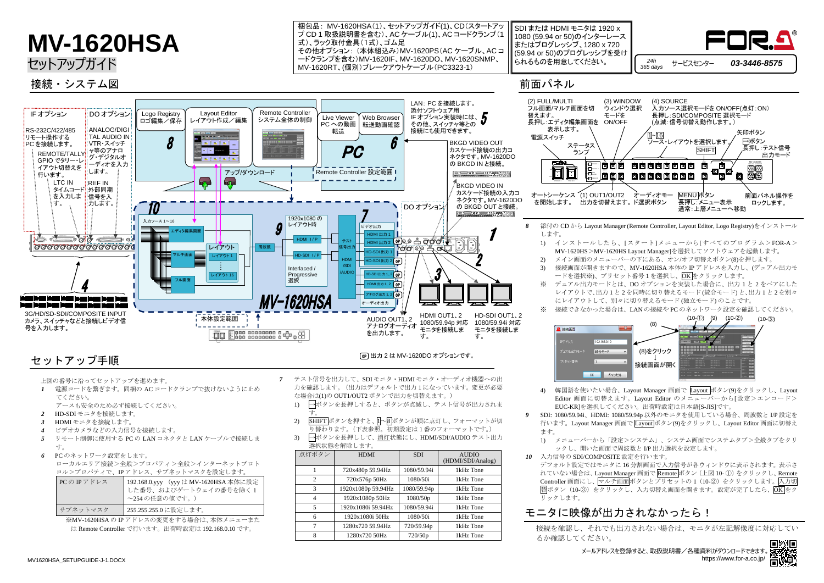## **MV-1620HSA**

セットアップガイド

- 
- ます。
	-
- *10* 入力信号の SDI/COMPOSITE 設定を行います。 ー<br>リックします。

### モニタに映像が出力されなかったら!

デフォルト設定ではモニタに 16 分割画面で入力信号が各ウィンドウに表示されます。表示さ れていない場合は、Layout Manager 画面で Remote ボタン (上図 10-1)) をクリックし、Remote Controller 画面にし、マルチ画面ボタンとプリセットの1 (10-2) をクリックします。入力切 替ボタン(10-3)をクリックし、入力切替え画面を開きます。設定が完了したら、OK をク

4) 韓国語を使いたい場合、Layout Manager 画面で Layout ボタン(9)をクリックし、Layout Editor 画面に切替えます。Layout Editor のメニューバーから[設定>エンコード> EUC-KR]を選択してください。出荷時設定は日本語[S-JIS]です。

*9* SDI: 1080/59.94i、HDMI: 1080/59.94p 以外のモニタを使用している場合、周波数と I/P 設定を 行います。Layout Manager 画面で Layout ボタン(9)をクリックし、Layout Editor 画面に切替え

1) メニューバーから「設定>システム」、システム画面でシステムタブ>全般タブをクリ ックし、開いた画面で周波数と I/P 出力選択を設定します。

SDI または HDMI モニタは 1920 x 1080 (59.94 or 50)のインターレース またはプログレッシブ、1280 x 720 (59.94 or 50)のプログレッシブを受け られるものを用意してください。

梱包品: MV-1620HSA(1)、セットアップガイド(1)、CD(スタートアッ プ CD 1 取扱説明書を含む)、AC ケーブル(1)、AC コードクランプ(1 式)、ラック取付金具(1式)、ゴム足 その他オプション: (本体組込み)MV-1620PS(AC ケーブル、AC コ ードクランプを含む)MV-1620IF、MV-1620DO、MV-1620SNMP、 MV-1620RT、(個別)ブレークアウトケーブル(PC3323-1)

前面パネル

上図の番号に沿ってセットアップを進めます。

- *1* 電源コードを繋ぎます。同梱の AC コードクランプで抜けないように止め てください。
	- アースも安全のため必ず接続してください。
- *2* HD-SDI モニタを接続します。
- *3* HDMI モニタを接続します。
- *4* ビデオカメラなどの入力信号を接続します。
- *5* リモート制御に使用する PC の LAN コネクタと LAN ケーブルで接続しま す。
- *6* PC のネットワーク設定をします。
- ローカルエリア接続>全般>プロパティ>全般>インターネットプロト コル>プロパティで、IP アドレス、サブネットマスクを設定します。

| PCの IP アドレス | 192.168.0.yyy (yyy は MV-1620HSA 本体に設定<br>した番号、およびゲートウェイの番号を除く1<br>~254の任意の値です。) |
|-------------|---------------------------------------------------------------------------------|
| サブネットマスク    | 255.255.255.0に設定します。                                                            |

※MV-1620HSA の IP アドレスの変更をする場合は、本体メニューまた

は Remote Controller で行います。出荷時設定は 192.168.0.10 です。

- *7* テスト信号を出力して、SDI モニタ・HDMI モニタ・オーディオ機器への出 力を確認します。(出力はデフォルトで出力 1 になっています。変更が必要 な場合は(1)の OUT1/OUT2 ボタンで出力を切替えます。)
	- 1) →ボタンを長押しすると、ボタンが点滅し、テスト信号が出力されま す。
	- 2) SHIFT ボタンを押すと、II~8ボタンが順に点灯し、フォーマットが切 り替わります。(下表参照。初期設定は 1 番のフォーマットです。)
	- 3) →ボタンを長押しして、消灯状態にし、HDMI/SDI/AUDIO テスト出力 選択状態を解除します。

| 点灯ボタン          | <b>HDMI</b>        | <b>SDI</b>  | <b>AUDIO</b><br>(HDMI/SDI/Analog) |
|----------------|--------------------|-------------|-----------------------------------|
|                | 720x480p 59.94Hz   | 1080/59.94i | 1kHz Tone                         |
| 2              | 720x576p 50Hz      | 1080/50i    | 1kHz Tone                         |
| 3              | 1920x1080p 59.94Hz | 1080/59.94p | 1kHz Tone                         |
| $\overline{4}$ | 1920x1080p 50Hz    | 1080/50p    | 1kHz Tone                         |
| 5              | 1920x1080i 59.94Hz | 1080/59.94i | 1kHz Tone                         |
| 6              | 1920x1080i 50Hz    | 1080/50i    | 1kHz Tone                         |
| 7              | 1280x720 59.94Hz   | 720/59.94p  | 1kHz Tone                         |
| 8              | 1280x720 50Hz      | 720/50p     | 1kHz Tone                         |

接続を確認し、それでも出力されない場合は、モニタが左記解像度に対応してい

るか確認してください。

接続・システム図





メールアドレスを登録すると、取扱説明書/各種資料がダウンロードできます。 https://www.for-a.co.jp/